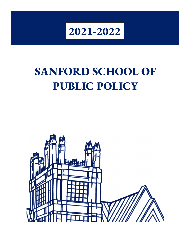**2021-2022**

# **SANFORD SCHOOL OF PUBLIC POLICY**

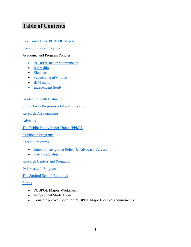# **Table of Contents**

#### [Key Contacts for PUBPOL Majors](#page-2-0)

[Communication Etiquette](#page-3-0)

#### Academic and Program Policies

- [PUBPOL major requirements](#page-4-0)
- [Internship](#page-5-0)
- [Electives](#page-6-0)
- Sequencing of Courses
- [IDM major](#page-8-0)
- Independent Study

[Graduation with Distinction](#page-10-0)

[Study Away Programs – Global Education](#page-11-0) 

[Research Assistantships](#page-14-0)

[Advising](#page-15-0)

[The Public Policy Major Union \(PPMU\)](#page-16-0)

[Certificate Programs](#page-17-0)

[Special Programs](#page-19-0)

- [Embark:](#page-19-1) Navigating Policy & Advocacy Careers
- [Hart Leadership](#page-20-0)

[Research Centers and Programs](#page-21-0)

4+1 [Master's Program](#page-23-0)

[The Sanford School Buildings](#page-25-0)

#### [Forms](#page-26-0)

- PUBPOL Majors Worksheet
- Independent Study Form
- Course Approval Form for PUBPOL Major Elective Requirements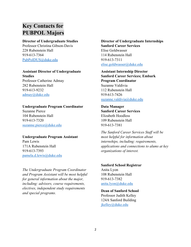# <span id="page-2-0"></span>**Key Contacts for PUBPOL Majors**

#### **Director of Undergraduate Studies**

Professor Christina Gibson-Davis 228 Rubenstein Hall 919-613-7364 [PubPolDUS@duke.edu](mailto:PubPolDUS@duke.edu)

### **Assistant Director of Undergraduate Studies**

Professor Catherine Admay 282 Rubenstein Hall 919-613-9232 [admay@duke.edu](mailto:admay@duke.edu)

#### **Undergraduate Program Coordinator**

Suzanne Pierce 104 Rubenstein Hall 919-613-7320 [suzanne.pierce@duke.edu](mailto:suzanne.pierce@duke.edu)

### **Undergraduate Program Assistant**

Pam Lewis 171A Rubenstein Hall 919-613-7393 [pamela.d.lewis@duke.edu](mailto:pamela.d.lewis@duke.edu)

*The Undergraduate Program Coordinator and Program Assistant will be most helpful for general information about the major, including: advisors, course requirements, electives, independent study requirements and special programs.* 

### **Director of Undergraduate Internships Sanford Career Services** Elise Goldwasser 114 Rubenstein Hall 919-613-7311 [elise.goldwasser@duke.edu](mailto:elise.goldwasser@duke.edu)

**Assistant Internship Director Sanford Career Services; Embark Program Coordinator** Suzanne Valdivia 112 Rubenstein Hall 919-613-7426 [suzanne.valdivia@duke.edu](mailto:suzanne.valdivia@duke.edu)

**Data Manager Sanford Career Services** Elizabeth Hoodless 109 Rubenstein Hall 919-613-7381

*The Sanford Career Services Staff will be most helpful for information about internships, including: requirements, applications and connections to alums at key organizations of interest.* 

### **Sanford School Registrar** Anita Lyon 108 Rubenstein Hall 919-613-7382 [anita.lyon@duke.edu](mailto:anita.lyon@duke.edu)

**Dean of Sanford School** Professor Judith Kelley 124A Sanford Building [jkelley@duke.edu](mailto:jkelley@duke.edu)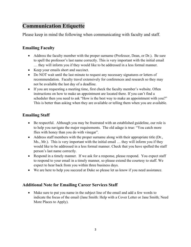# <span id="page-3-0"></span>**Communication Etiquette**

Please keep in mind the following when communicating with faculty and staff.

# **Emailing Faculty**

- Address the faculty member with the proper surname (Professor, Dean, or Dr.). Be sure to spell the professor's last name correctly. This is very important with the initial email … they will inform you if they would like to be addressed in a less formal manner.
- Keep your emails short and succinct.
- Do NOT wait until the last minute to request any necessary signatures or letters of recommendation. Faculty travel extensively for conferences and research so they may not be available the last day of a deadline.
- If you are requesting a meeting time, first check the faculty member's website. Often instructions on how to make an appointment are located there. If you can't find a scheduler then you need to ask "How is the best way to make an appointment with you?" This is better than asking when they are available or telling them when you are available.

# **Emailing Staff**

- Be respectful. Although you may be frustrated with an established guideline, our role is to help you navigate the major requirements. The old adage is true: "You catch more flies with honey than you do with vinegar".
- Address staff members with the proper surname along with their appropriate title (Dr., Ms., Mr.). This is very important with the initial email … they will inform you if they would like to be addressed in a less formal manner. Check that you have spelled the staff person's last name correctly.
- Respond in a timely manner. If we ask for a response, please respond. You expect staff to respond to your email in a timely manner, so please extend the courtesy to staff. We expect to hear back from you within three business days.
- We are here to help you succeed at Duke so please let us know if you need assistance.

# **Additional Note for Emailing Career Services Staff**

• Make sure to put you name in the subject line of the email and add a few words to indicate the focus of the email (Jane Smith: Help with a Cover Letter or Jane Smith; Need More Places to Apply).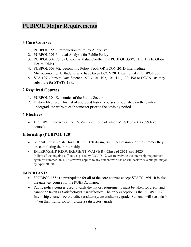# <span id="page-4-0"></span>**PUBPOL Major Requirements**

# **5 Core Courses**

- 1. PUBPOL 155D Introduction to Policy Analysis\*
- 2. PUBPOL 301 Political Analysis for Public Policy
- 3. PUBPOL 302 Policy Choice as Value Conflict OR PUBPOL 330/GLHLTH 210 Global Health Ethics
- 4. PUBPOL 303 Microeconomic Policy Tools OR ECON 201D Intermediate Microeconomics I. Students who have taken ECON 201D cannot take PUBPOL 303.
- 5. STA 199L Intro to Data Science. STA 101, 102, 104, 111, 130, 198 or ECON 104 may substitute for STATS 199L.

# **2 Required Courses**

- 1. PUBPOL 304 Economics of the Public Sector
- 2. History Elective. This list of approved history courses is published on the Sanford undergraduate website each semester prior to the advising period.

## **4 Electives**

• 4 PUBPOL electives at the 160-699 level (one of which MUST be a 400-699 level course)

# **Internship (PUBPOL 120)**

- Students must register for PUBPOL 120 during Summer Session 2 of the summer they are completing their internship.
- **INTERNSHIP REQUIREMENT WAIVED Class of 2022 and 2023** In light of the ongoing difficulties posed by COVID-19, we are waiving the internship requirement again for summer 2021. This waiver applies to any student who has or will declare as a pub pol major by April 30, 2021.

### **IMPORTANT:**

- \*PUBPOL 155 is a prerequisite for all of the core courses except STATS 199L. It is also the gateway course for the PUBPOL major.
- Public policy courses used towards the major requirements must be taken for credit and cannot be taken as Satisfactory/Unsatisfactory. The only exception is the PUBPOL 120 Internship course – zero credit, satisfactory/unsatisfactory grade. Students will see a dash "-" on their transcript to indicate a satisfactory grade.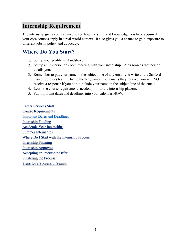# <span id="page-5-0"></span>**Internship Requirement**

The internship gives you a chance to see how the skills and knowledge you have acquired in your core courses apply in a real-world context. It also gives you a chance to gain exposure to different jobs in policy and advocacy.

# **Where Do You Start?**

- 1. Set up your profile in Handshake
- 2. Set up an in-person or Zoom meeting with your internship TA as soon as that person emails you.
- 3. Remember to put your name in the subject line of any email you write to the Sanford Career Services team. Due to the large amount of emails they receive, you will NOT receive a response if you don't include your name in the subject line of the email.
- 4. Learn the course requirements needed prior to the internship placement.
- 5. Put important dates and deadlines into your calendar NOW.

[Career Services Staff](#page-27-0) [Course Requirements](#page-30-0) [Important Dates and Deadlines](#page-39-0) [Internship Funding](#page-28-0) [Academic Year Internships](#page-31-0) [Summer Internships](#page-32-0) [Where Do I Start with the Internship Process](#page-33-0) [Internship Planning](#page-36-0) [Internship Approval](#page-29-0) [Accepting an Internship Offer](#page-37-0) [Finalizing the Process](#page-38-0) [Steps for a Successful Search](#page-34-0)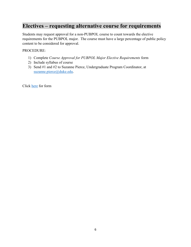# <span id="page-6-0"></span>**Electives – requesting alternative course for requirements**

Students may request approval for a non-PUBPOL course to count towards the elective requirements for the PUBPOL major. The course must have a large percentage of public policy content to be considered for approval.

#### PROCEDURE:

- 1) Complete *Course Approval for PUBPOL Major Elective Requirements* form
- 2) Include syllabus of course
- 3) Send #1 and #2 to Suzanne Pierce, Undergraduate Program Coordinator, at [suzanne.pierce@duke.edu.](mailto:suzanne.pierce@duke.edu)

Click [here](https://sanford.duke.edu/academics/undergraduate-program/current-students/forms) for form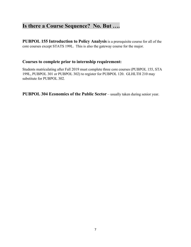# **Is there a Course Sequence? No. But ….**

**PUBPOL 155 Introduction to Policy Analysis** is a prerequisite course for all of the core courses except STATS 199L. This is also the gateway course for the major.

### **Courses to complete prior to internship requirement:**

Students matriculating after Fall 2019 must complete three core courses (PUBPOL 155, STA 199L, PUBPOL 301 or PUBPOL 302) to register for PUBPOL 120. GLHLTH 210 may substitute for PUBPOL 302.

**PUBPOL 304 Economics of the Public Sector** – usually taken during senior year.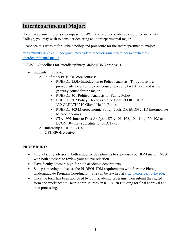# <span id="page-8-0"></span>**Interdepartmental Major:**

If your academic interests encompass PUBPOL and another academic discipline in Trinity College, you may wish to consider declaring an interdepartmental major.

Please see this website for Duke's policy and procedure for the Interdepartmental major:

[https://trinity.duke.edu/undergraduate/academic-policies/majors-minors-certificates](https://trinity.duke.edu/undergraduate/academic-policies/majors-minors-certificates-interdepartmental-major)[interdepartmental-major](https://trinity.duke.edu/undergraduate/academic-policies/majors-minors-certificates-interdepartmental-major)

PUBPOL Guidelines for Interdisciplinary Major (IDM) proposals

- Students must take:
	- o 4 of the 5 PUBPOL core courses:
		- PUBPOL 155D Introduction to Policy Analysis. This course is a prerequisite for all of the core courses except STATS 199L and is the gateway course for the major.
		- **PUBPOL 301 Political Analysis for Public Policy**
		- **PUBPOL 302 Policy Choice as Value Conflict OR PUBPOL** 330/GLHLTH 210 Global Health Ethics
		- PUBPOL 303 Microeconomic Policy Tools OR ECON 201D Intermediate Microeconomics I
		- **STA 199L Intro to Data Analysis. STA 101, 102, 104, 111, 130, 198 or** ECON 104 may substitute for STA 199L
	- o Internship (PUBPOL 120)
	- o 2 PUBPOL electives

### **PROCEDURE:**

- Find a faculty advisor in both academic departments to supervise your IDM major. Meet with both advisors to review your course selection.
- Have faculty advisors sign for both academic departments.
- Set up a meeting to discuss the PUBPOL IDM requirements with Suzanne Pierce, Undergraduate Program Coordinator. She can be reached at [suzanne.pierce@duke.edu.](mailto:suzanne.pierce@duke.edu)
- Once the form has been approved by both academic programs, then submit the signed form and worksheet to Dean Karen Murphy in 011 Allen Building for final approval and then processing.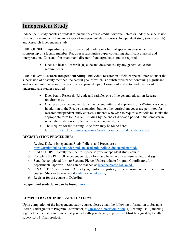# <span id="page-9-0"></span>**Independent Study**

Independent study enables a student to pursue for course credit individual interests under the supervision of a faculty member. There are 2 types of independent study courses: Independent study (non-research) and Research Independent Study.

**PUBPOL 391 Independent Study**. Supervised reading in a field of special interest under the sponsorship of a faculty member. Requires a substantive paper containing significant analysis and interpretation. Consent of instructor and director of undergraduate studies required.

> • Does not bear a Research (R) code and does not satisfy any general education requirements.

**PUBPOL 393 Research Independent Study.** Individual research in a field of special interest under the supervision of a faculty member, the central goal of which is a substantive paper containing significant analysis and interpretation of a previously approved topic. Consent of instructor and director of undergraduate studies required.

- Does bear a Research (R) code and satisfies one of the general education Research requirements.
- One research independent study may be submitted and approved for a Writing (W) code in addition to the R code designation, but no other curriculum codes are permitted for research independent study courses. Students who wish to request a W code must take the appropriate form to 02 Allen Building by the end of drop/add period in the semester in which the student is enrolled in the independent study.
- The Request for the Writing Code form may be found here: <https://trinity.duke.edu/undergraduate/academic-policies/independent-study>

#### **REGISTRATION PROCEDURE:**

- 1. Review Duke's Independent Study Policies and Procedures: <https://trinity.duke.edu/undergraduate/academic-policies/independent-study>
- 2. Find a PUBPOL faculty member to supervise your independent study course.
- 3. Complete the PUBPOL independent study form and have faculty advisor review and sign.
- 4. Send the completed form to Suzanne Pierce, Undergraduate Program Coordinator, for departmental approval. She can be reached at [suzanne.pierce@duke.edu.](mailto:suzanne.pierce@duke.edu)
- 5. FINAL STEP: Send form to Anita Lyon, Sanford Registrar, for permission number to enroll in course. She can be reached at [anita.lyon@duke.edu.](mailto:anita.lyon@duke.edu)
- 6. Register for the course in DukeHub.

#### **Independent study form can be foun[d here](https://sanford.duke.edu/academics/undergraduate/forms)**

#### **COMPLETION OF INDEPENDENT STUDY:**

Upon completion of the independent study course, please email the following information to Suzanne Pierce, Undergraduate Program Coordinator, at [Suzanne.pierce@duke.edu.](mailto:Suzanne.pierce@duke.edu) 1) Reading list; 2) meeting log: include the dates and times that you met with your faculty supervisor. Must be signed by faculty supervisor; 3) final product.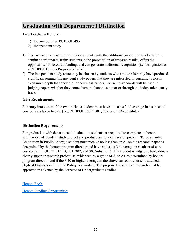# <span id="page-10-0"></span>**Graduation with Departmental Distinction**

#### **Two Tracks to Honors:**

- 1) Honors Seminar PUBPOL 495
- 2) Independent study
- 1) The two-semester seminar provides students with the additional support of feedback from seminar participants, trains students in the presentation of research results, offers the opportunity for research funding, and can generate additional recognition (i.e. designation as a PUBPOL Honors Program Scholar).
- 2) The independent study route may be chosen by students who realize after they have produced significant seminar/independent study papers that they are interested in pursuing topics in even more depth than they did in their class papers. The same standards will be used in judging papers whether they come from the honors seminar or through the independent study track.

### **GPA Requirements**

For entry into either of the two tracks, a student must have at least a 3.40 average in a subset of core courses taken to date (i.e., PUBPOL 155D, 301, 302, and 303/substitute).

### **Distinction Requirements**

For graduation with departmental distinction, students are required to complete an honors seminar or independent study project and produce an honors research project. To be awarded Distinction in Public Policy, a student must receive no less than an A- on the research paper as determined by the honors program director and have at least a 3.4 average in a subset of core courses (i.e., PUBPOL 155D, 301, 302, and 303/substitute). If a student is judged to have done a clearly superior research project, as evidenced by a grade of A or A+ as determined by honors program director, and if the 3.40 or higher average in the above sunset of course is attained, Highest Distinction in Public Policy is awarded. The proposed program of research must be approved in advance by the Director of Undergraduate Studies.

[Honors FAQs](#page-40-0) [Honors Funding Opportunities](#page-43-0)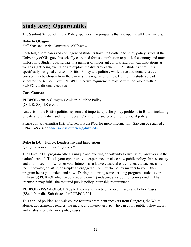# <span id="page-11-0"></span>**Study Away Opportunities**

The Sanford School of Public Policy sponsors two programs that are open to all Duke majors.

### **Duke in Glasgow**

*Fall Semester at the University of Glasgow* 

Each fall, a seminar-sized contingent of students travel to Scotland to study policy issues at the University of Glasgow, historically esteemed for its contribution to political economy and moral philosophy. Students participate in a number of important cultural and political institutions as well as sightseeing excursions to explore the diversity of the UK. All students enroll in a specifically designed course on British Policy and politics, while three additional elective courses may be chosen from the University's regular offerings. During this study abroad semester, the 400-699 level PUBPOL elective requirement may be fulfilled, along with 2 PUBPOL additional electives.

### **Core Course:**

**PUBPOL 450SA** Glasgow Seminar in Public Policy (CCI, R, SS). 1.0 credit.

Analysis of the British political system and important public policy problems in Britain including privatization, British and the European Community and economic and social policy.

Please contact Annalisa Kristoffersen in PUBPOL for more information. She can be reached at 919-613-9374 or [annalisa.kristoffersen@duke.edu.](mailto:annalisa.kristoffersen@duke.edu)

### **Duke in DC – Policy, Leadership and Innovation**

*Spring semester in Washington, DC*

The Duke in DC program offers a unique and exciting opportunity to live, study, and work in the nation's capital. This is your opportunity to experience up close how public policy shapes society and your place in it. Whether your future is as a lawyer, a social entrepreneur, a teacher, a hightech innovator, an artist, or simply an engaged citizen, public policy matters to you – this program helps you understand how. During this spring semester-long program, students enroll in three (3) PUBPOL elective courses and one (1) independent study for course credit. The internship may fulfill the required public policy internship requirement.

**PUBPOL 217SA/POLSCI 240SA** Theory and Practice: People, Places and Policy Cases (SS). 1.0 credit. Substitutes for PUBPOL 301.

This applied political analysis course features prominent speakers from Congress, the White House, government agencies, the media, and interest groups who can apply public policy theory and analysis to real-world policy cases.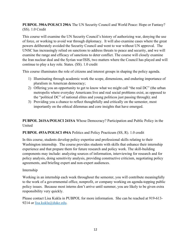**PUBPOL 390A/POLSCI 290A** The UN Security Council and World Peace: Hope or Fantasy? (SS). 1.0 Credit

This course will examine the UN Security Council's history of authorizing war, denying the use of force, or working to avoid war through diplomacy. It will also examine cases where the great powers deliberately avoided the Security Council and went to war without UN approval. The UNSC has increasingly relied on sanctions to address threats to peace and security, and we will examine the range and efficacy of sanctions to deter conflict. The course will closely examine the Iran nuclear deal and the Syrian war/ISIS, two matters where the Council has played and will continue to play a key role. States. (SS). 1.0 credit

This course illuminates the role of citizens and interest groups in shaping the policy agenda.

- 1) Illuminating through academic work the scope, dimensions, and enduring importance of pluralism in American democracy;
- 2) Offering you an opportunity to get to know what we might call "the real DC" (the urban metropolis where everyday Americans live and real social problems exist, as opposed to the "political DC" of national elites and young politicos just passing through); and
- 3) Providing you a chance to reflect thoughtfully and critically on the semester, most importantly on the ethical dilemmas and core insights that have emerged.

**PUBPOL 261SA/POLSCI 241SA** Whose Democracy? Participation and Public Policy in the **United** 

### **PUBPOL 493A/POLSCI 494A** Politics and Policy Practicum (SS, R). 1.0 credit

In this course, students develop policy expertise and professional skills relating to their Washington internship. The course provides students with skills that enhance their internship experience and that prepare them for future research and policy work. The skill-building components may include: analyzing sources of information, interviewing for research and for policy analysis, doing sensitivity analysis, providing constructive criticism, negotiating policy agreements, and briefing expert and non-expert audiences.

### Internship

Working in an internship each week throughout the semester, you will contribute meaningfully to the work of a governmental office, nonprofit, or company working on agenda-topping public policy issues. Because most interns don't arrive until summer, you are likely to be given extra responsibility very quickly.

Please contact Lisa Kukla in PUBPOL for more information. She can be reached at 919-613 9214 or [lisa.kukla@duke.edu.](mailto:lisa.kukla@duke.edu)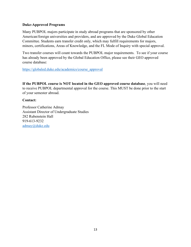#### **Duke-Approved Programs**

Many PUBPOL majors participate in study abroad programs that are sponsored by other American/foreign universities and providers, and are approved by the Duke Global Education Committee. Students earn transfer credit only, which may fulfill requirements for majors, minors, certifications, Areas of Knowledge, and the FL Mode of Inquiry with special approval.

Two transfer courses will count towards the PUBPOL major requirements. To see if your course has already been approved by the Global Education Office, please see their GEO approved course database:

[https://globaled.duke.edu/academics/course\\_approval](https://globaled.duke.edu/academics/course_approval)

**If the PUBPOL course is NOT located in the GEO approved course database**, you will need to receive PUBPOL departmental approval for the course. This MUST be done prior to the start of your semester abroad.

#### **Contact:**

Professor Catherine Admay Assistant Director of Undergraduate Studies 282 Rubenstein Hall 919-613-9232 [admay@duke.edu](mailto:admay@duke.edu)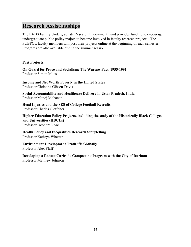# <span id="page-14-0"></span>**Research Assistantships**

The EADS Family Undergraduate Research Endowment Fund provides funding to encourage undergraduate public policy majors to become involved in faculty research projects. The PUBPOL faculty members will post their projects online at the beginning of each semester. Programs are also available during the summer session.

#### **Past Projects:**

**On Guard for Peace and Socialism: The Warsaw Pact, 1955-1991** Professor Simon Miles

**Income and Net Worth Poverty in the United States** Professor Christina Gibson-Davis

**Social Accountability and Healthcare Delivery in Uttar Pradesh, India** Professor Manoj Mohanan

**Head Injuries and the SES of College Football Recruits** Professor Charles Clotfelter

**Higher Education Policy Projects, including the study of the Historically Black Colleges and Universities (HBCUs)** Professor Deondra Rose

**Health Policy and Inequalities Research Storytelling** Professor Kathryn Whetten

#### **Environment-Development Tradeoffs Globally**  Professor Alex Pfaff

**Developing a Robust Curbside Composting Program with the City of Durham** Professor Matthew Johnson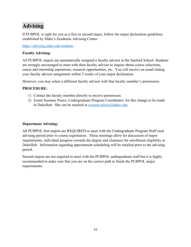# <span id="page-15-0"></span>**Advising**

If PUBPOL is right for you as a first or second major, follow the major declaration guidelines established by Duke's Academic Advising Center.

<https://advising.duke.edu/students>

### **Faculty Advising:**

All PUBPOL majors are automatically assigned a faculty advisor in the Sanford School. Students are strongly encouraged to meet with their faculty advisor to inquire about course selections, career and internship aspirations, research opportunities, etc. You will receive an email stating your faculty advisor assignment within 2 weeks of your major declaration.

However, you may select a different faculty advisor with that faculty member's permission.

### **PROCEDURE:**

- 1) Contact the faculty member directly to receive permission.
- 2) Email Suzanne Pierce, Undergraduate Program Coordinator, for this change to be made in DukeHub. She can be reached at [suzanne.pierce@duke.edu.](mailto:suzanne.pierce@duke.edu)

#### **Department Advising:**

All PUBPOL first majors are REQUIRED to meet with the Undergraduate Program Staff each advising period prior to course registration. These meetings allow for discussion of major requirements, individual progress towards the degree and clearance for enrollment eligibility in DukeHub. Information regarding appointment scheduling will be emailed prior to the advising period.

Second majors are not required to meet with the PUBPOL undergraduate staff but it is highly recommended to make sure that you are on the correct path to finish the PUBPOL major requirements.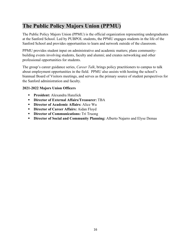# <span id="page-16-0"></span>**The Public Policy Majors Union (PPMU)**

The Public Policy Majors Union (PPMU) is the official organization representing undergraduates at the Sanford School. Led by PUBPOL students, the PPMU engages students in the life of the Sanford School and provides opportunities to learn and network outside of the classroom.

PPMU provides student input on administrative and academic matters; plans communitybuilding events involving students, faculty and alumni; and creates networking and other professional opportunities for students.

The group's career guidance series, *Career Talk*, brings policy practitioners to campus to talk about employment opportunities in the field. PPMU also assists with hosting the school's biannual Board of Visitors meetings, and serves as the primary source of student perspectives for the Sanford administration and faculty.

### **2021-2022 Majors Union Officers**

- **President:** Alexandra Hanzlick
- **Director of External Affairs/Treasurer:** TBA
- **Director of Academic Affairs:** Alice Wu
- **Director of Career Affairs:** Aidan Floyd
- **EXECUTE:** Director of Communications: Tri Truong
- **Director of Social and Community Planning:** Alberto Najarro and Elyse Demas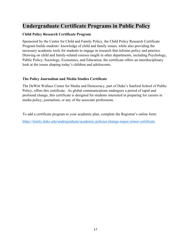# <span id="page-17-0"></span>**Undergraduate Certificate Programs in Public Policy**

#### **Child Policy Research Certificate Program**

Sponsored by the Center for Child and Family Policy, the Child Policy Research Certificate Program builds students' knowledge of child and family issues, while also providing the necessary academic tools for students to engage in research that informs policy and practice. Drawing on child and family-related courses taught in other departments, including Psychology, Public Policy, Sociology, Economics, and Education, the certificate offers an interdisciplinary look at the issues shaping today's children and adolescents.

### **The Policy Journalism and Media Studies Certificate**

The DeWitt Wallace Center for Media and Democracy, part of Duke's Sanford School of Public Policy, offers this certificate. As global communications undergoes a period of rapid and profound change, this certificate is designed for students interested in preparing for careers in media policy, journalism, or any of the associate professions.

To add a certificate program to your academic plan, complete the Registrar's online form:

<https://trinity.duke.edu/undergraduate/academic-policies/change-major-minor-certificate>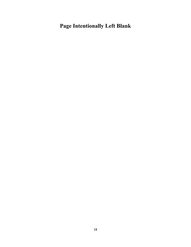# **Page Intentionally Left Blank**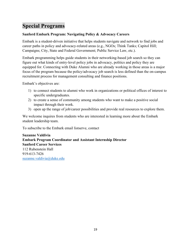# <span id="page-19-0"></span>**Special Programs**

#### <span id="page-19-1"></span>**Sanford Embark Program: Navigating Policy & Advocacy Careers**

Embark is a student-driven initiative that helps students navigate and network to find jobs and career paths in policy and advocacy-related areas (e.g., NGOs; Think Tanks; Capitol Hill; Campaigns; City, State and Federal Government; Public Service Law, etc.).

Embark programming helps guide students in their networking-based job search so they can figure out what kinds of entry-level policy jobs in advocacy, politics and policy they are equipped for. Connecting with Duke Alumni who are already working in those areas is a major focus of the program because the policy/advocacy job search is less defined than the on-campus recruitment process for management consulting and finance positions.

Embark's objectives are:

- 1) to connect students to alumni who work in organizations or political offices of interest to specific undergraduates.
- 2) to create a sense of community among students who want to make a positive social impact through their work.
- 3) open up the range of job/career possibilities and provide real resources to explore them.

We welcome inquires from students who are interested in learning more about the Embark student leadership team.

To subscribe to the Embark email listserve, contact

**Suzanne Valdivia Embark Program Coordinator and Assistant Internship Director Sanford Career Services** 112 Rubenstein Hall 919-613-7426 [suzanne.valdivia@duke.edu](mailto:suzanne.valdivia@duke.edu)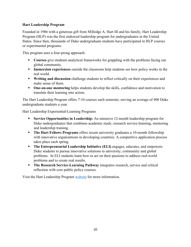### <span id="page-20-0"></span>**Hart Leadership Program**

Founded in 1986 with a generous gift from Milledge A. Hart III and his family, Hart Leadership Program (HLP) was the first endowed leadership program for undergraduates in the United States. Since then, thousands of Duke undergraduate students have participated in HLP courses or experimental programs.

This program uses a four-prong approach:

- **Courses** give students analytical frameworks for grappling with the problems facing our global community.
- **Immersion experiences** outside the classroom help students see how policy works in the real world.
- **Writing and discussion** challenge students to reflect critically on their experiences and make sense of them.
- **Cone-on-one mentoring** helps students develop the skills, confidence and motivation to translate their learning into action.

The Hart Leadership Program offers 7-10 courses each semester, serving an average of 400 Duke undergraduate students a year.

Hart Leadership Experiential-Learning Programs

- **Service Opportunities in Leadership:** An intensive 12-month leadership program for Duke undergraduates that combines academic study, research service-learning, mentoring and leadership training.
- **The Hart Fellows Programs** offers recent university graduates a 10-month fellowship with innovative organizations in developing countries. A competitive application process takes place each spring.
- **The Entrepreneurial Leadership Initiative (ELI)** engages, educates, and empowers Duke students to pursue innovative solutions to university, community and global problems. In ELI students learn how to act on their passions to address real-world problems and to create real results.
- **The Research Service-Learning Pathway** integrates research, service and critical reflection with core public policy courses.

Visit the Hart Leadership Program [website](https://hart.sanford.duke.edu/) for more information.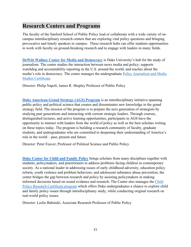# <span id="page-21-0"></span>**Research Centers and Programs**

The faculty of the Sanford School of Public Policy lead or collaborate with a wide variety of oncampus interdisciplinary research centers that are exploring vital policy questions and bringing provocative and timely speakers to campus. These research hubs can offer students opportunities to work with faculty on ground-breaking research and to engage with leaders in many fields.

**[DeWitt Wallace Center for Media and Democracy](https://dewitt.sanford.duke.edu/)** is Duke University's hub for the study of journalism. The center studies the interaction between news media and policy; supports watchdog and accountability reporting in the U.S. around the world; and teaches about the media's role in democracy. The center manages the undergraduate [Policy Journalism and Media](https://dewitt.sanford.duke.edu/certificate-courses/)  [Studies Certificate.](https://dewitt.sanford.duke.edu/certificate-courses/)

Director: Philip Napoli, James R. Shepley Professor of Public Policy

**[Duke American Grand Strategy \(AGS\) Program](https://ags.duke.edu/)** is an interdisciplinary initiative spanning public policy and political science that creates and disseminates new knowledge in the grand strategy field. The mission of the program is to prepare the next generation of strategists by studying past generations and interacting with current strategic leaders. Through courses, distinguished lectures, and active learning opportunities, participants in AGS have the opportunity to interact with leaders from the world of policy as well as the best scholars writing on these topics today. The program is building a research community of faculty, graduate students, and undergraduates who are committed to deepening their understanding of America's role in the world – past, present and future.

Director: Peter Feaver, Professor of Political Science and Public Policy

**[Duke Center for Child and Family Policy](https://childandfamilypolicy.duke.edu/)** brings scholars from many disciplines together with students, policymakers, and practitioners to address problems facing children in contemporary society. As a national leader in addressing issues of early childhood adversity, education policy reform, youth violence and problem behaviors, and adolescent substance abuse prevention, the center bridges the gap between research and policy by assisting policymakers in making informed decisions based on sound evidence and research. The Center also manages the [Child](https://childandfamilypolicy.duke.edu/students/child-policy-research-certificate/)  [Policy Research Certificate program](https://childandfamilypolicy.duke.edu/students/child-policy-research-certificate/) which offers Duke undergraduates a chance to explore child and family policy issues through interdisciplinary study, while conducting original research on real-world policy issues.

Director: Leslie Babinski, Associate Research Professor of Public Policy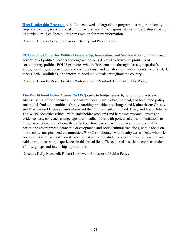**[Hart Leadership Program](https://hart.sanford.duke.edu/)** is the first endowed undergraduate program at a major university to emphasize ethics, service, social entrepreneurship and the responsibilities of leadership as part of its curriculum. See Special Programs section for more information.

Director: Gunther Peck, Professor of History and Public Policy

**[POLIS: The Center for Political Leadership, Innovation, and Service](https://polis.duke.edu/)** seeks to inspire a new generation of political leaders and engaged citizens devoted to fixing the problems of contemporary politics. POLIS promotes what politics could be through classes, a speaker's series, trainings, podcasts, open and civil dialogue, and collaboration with students, faculty, staff, other North Carolinians, and reform-minded individuals throughout the country.

Director: Deondra Rose, Assistant Professor in the Sanford School of Public Policy

**[The World Food Policy Center \(WFPC\)](https://wfpc.sanford.duke.edu/)** seeks to bridge research, policy and practice to address issues of food security. The center's work spans global, regional, and local food policy and model food communities. Our overarching priorities are Hunger and Malnutrition; Obesity and Diet-Related Disease; Agriculture and the Environment; and Food Safety and Food Defense. The WFPC identifies critical multi-stakeholder problems and harnesses research, creates an evidence base, convenes change agents and collaborates with policymakers and institutions to improve practices and policies that affect our food system, with positive impacts on public health, the environment, economic development, and social/cultural traditions, with a focus on low-income, marginalized communities. WFPC collaborates with faculty across Duke who offer courses that address food security issues, and who offer students opportunities for research and paid or volunteer work experiences in this broad field. The center also seeks to connect student affinity groups and internship opportunities.

Director: Kelly Brownell, Robert L. Flowers Professor of Public Policy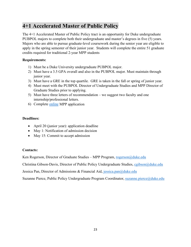# <span id="page-23-0"></span>**4+1 Accelerated Master of Public Policy**

The 4+1 Accelerated Master of Public Policy tract is an opportunity for Duke undergraduate PUBPOL majors to complete both their undergraduate and master's degrees in five (5) years. Majors who are able to pursue graduate-level coursework during the senior year are eligible to apply in the spring semester of their junior year. Students will complete the entire 51 graduate credits required for traditional 2-year MPP students

### **Requirements:**

- 1) Must be a Duke University undergraduate PUBPOL major.
- 2) Must have a 3.5 GPA overall and also in the PUBPOL major. Must maintain through junior year.
- 3) Must have a GRE in the top quartile. GRE is taken in the fall or spring of junior year.
- 4) Must meet with the PUBPOL Director of Undergraduate Studies and MPP Director of Graduate Studies prior to applying.
- 5) Must have three letters of recommendation we suggest two faculty and one internship/professional letters.
- 6) Complete [online](https://sanford.duke.edu/admissions/master-public-policy/faqs) MPP application

### **Deadlines:**

- April 20 (junior year): application deadline
- May 1: Notification of admission decision
- May 15: Commit to accept admission

### **Contacts:**

Ken Rogerson, Director of Graduate Studies – MPP Program, [rogerson@duke.edu](mailto:rogerson@duke.edu)

Christina Gibson-Davis, Director of Public Policy Undergraduate Studies, [cgibson@duke.edu](mailto:cgibson@duke.edu)

Jessica Pan, Director of Admissions & Financial Aid, [jessica.pan@duke.edu](mailto:jessica.pan@duke.edu)

Suzanne Pierce, Public Policy Undergraduate Program Coordinator, [suzanne.pierce@duke.edu](mailto:suzanne.pierce@duke.edu)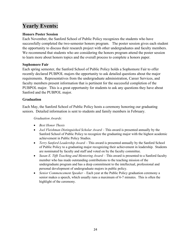# **Yearly Events:**

### **Honors Poster Session**

Each November, the Sanford School of Public Policy recognizes the students who have successfully completed the two-semester honors program. The poster session gives each student the opportunity to discuss their research project with other undergraduates and faculty members. We recommend that students who are considering the honors program attend the poster session to learn more about honors topics and the overall process to complete a honors paper.

### **Sophomore Fair**

Each spring semester, the Sanford School of Public Policy holds a Sophomore Fair to offer recently declared PUBPOL majors the opportunity to ask detailed questions about the major requirements. Representatives from the undergraduate administration, Career Services, and faculty members present information that is pertinent for the successful completion of the PUBPOL major. This is a great opportunity for students to ask any questions they have about Sanford and the PUBPOL major.

### **Graduation**

Each May, the Sanford School of Public Policy hosts a ceremony honoring our graduating seniors. Detailed information is sent to students and family members in February.

*Graduation Awards:*

- *Best Honor Thesis*
- *Joel Fleishman Distinguished Scholar Award* This award is presented annually by the Sanford School of Public Policy to recognize the graduating major with the highest academic achievement in Public Policy Studies.
- *Terry Sanford Leadership Award* This award is presented annually by the Sanford School of Public Policy to a graduating major recognizing their achievement in leadership. Students are nominated by faculty and staff and voted on by the faculty committee.
- *Susan E. Tifft Teaching and Mentoring Award* This award is presented to a Sanford faculty member who has made outstanding contributions to the teaching mission of the undergraduate program and has a deep commitment to the intellectual, professional and personal development of undergraduate majors in public policy.
- *Senior Commencement Speaker* Each year at the Public Policy graduation ceremony a senior makes a speech, which usually runs a maximum of 6-7 minutes. This is often the highlight of the ceremony.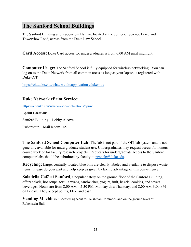# <span id="page-25-0"></span>**The Sanford School Buildings**

The Sanford Building and Rubenstein Hall are located at the corner of Science Drive and Towerview Road, across from the Duke Law School.

**Card Access:** Duke Card access for undergraduates is from 6:00 AM until midnight.

**Computer Usage:** The Sanford School is fully equipped for wireless networking. You can log on to the Duke Network from all common areas as long as your laptop is registered with Duke OIT.

<https://oit.duke.edu/what-we-do/applications/dukeblue>

### **Duke Network ePrint Service:**

<https://oit.duke.edu/what-we-do/applications/eprint>

**Eprint Locations:** Sanford Building – Lobby Alcove

Rubenstein – Mail Room 145

**The Sanford School Computer Lab:** The lab is not part of the OIT lab system and is not generally available for undergraduate student use. Undergraduates may request access for honors course work or for faculty research projects. Requests for undergraduate access to the Sanford computer labs should be submitted by faculty to  $ppshelp@duke.edu$ .

**Recycling:** Large, centrally located blue bins are clearly labeled and available to dispose waste items. Please do your part and help keep us green by taking advantage of this convenience.

**Saladelia Café at Sanford**, a popular eatery on the ground floor of the Sanford Building, offers salads, hot soups, tortilla wraps, sandwiches, yogurt, fruit, bagels, cookies, and several beverages. Hours are from 8:00 AM – 5:30 PM, Monday thru Thursday, and 8:00 AM-3:00 PM on Friday. They accept points, Flex, and cash.

**Vending Machines:** Located adjacent to Fleishman Commons and on the ground level of Rubenstein Hall.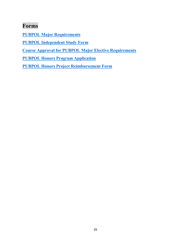# <span id="page-26-0"></span>**Forms**

**[PUBPOL Major Requirements](https://sanford.duke.edu/academics/undergraduate-program/current-students/forms)**

**[PUBPOL Independent Study Form](https://sanford.duke.edu/academics/undergraduate-program/current-students/forms)**

**[Course Approval for PUBPOL Major Elective Requirements](https://sanford.duke.edu/academics/undergraduate-program/current-students/forms)**

**[PUBPOL Honors Program Application](https://sanford.duke.edu/academics/undergraduate-program/current-students/forms)**

**[PUBPOL Honors Project Reimbursement Form](https://sanford.duke.edu/academics/undergraduate-program/current-students/forms)**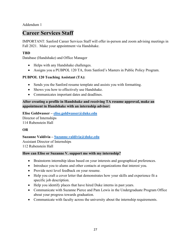# <span id="page-27-0"></span>**Career Services Staff**

IMPORTANT: Sanford Career Services Staff will offer in-person and zoom advising meetings in Fall 2021. Make your appointment via Handshake.

### **TBD**

Database (Handshake) and Office Manager

- Helps with any Handshake challenges.
- Assigns you a PUBPOL 120 TA, from Sanford's Masters in Public Policy Program.

### **PUBPOL 120 Teaching Assistant (TA):**

- Sends you the Sanford resume template and assists you with formatting.
- Shows you how to effectively use Handshake.
- Communicates important dates and deadlines.

### **After creating a profile in Handshake and receiving TA resume approval, make an appointment in Handshake with an internship advisor:**

**Elise Goldwasser – [elise.goldwasser@duke.edu](mailto:elise.goldwasser@duke.edu)** Director of Internships 114 Rubenstein Hall

### **OR**

**Suzanne Valdivia – [Suzanne.valdivia@duke.edu](mailto:Suzanne.valdivia@duke.edu)** Assistant Director of Internships 112 Rubenstein Hall

#### **How can Elise or Suzanne V. support me with my internship?**

- Brainstorm internship ideas based on your interests and geographical preferences.
- Introduce you to alums and other contacts at organizations that interest you.
- Provide next level feedback on your resume.
- Help you craft a cover letter that demonstrates how your skills and experience fit a specific job description.
- Help you identify places that have hired Duke interns in past years.
- Communicate with Suzanne Pierce and Pam Lewis in the Undergraduate Program Office about your progress towards graduation.
- Communicate with faculty across the university about the internship requirements.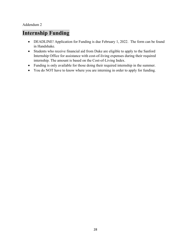# <span id="page-28-0"></span>**Internship Funding**

- DEADLINE! Application for Funding is due February 1, 2022. The form can be found in Handshake.
- Students who receive financial aid from Duke are eligible to apply to the Sanford Internship Office for assistance with cost-of-living expenses during their required internship. The amount is based on the Cost-of-Living Index.
- Funding is only available for those doing their required internship in the summer.
- You do NOT have to know where you are interning in order to apply for funding.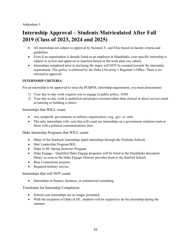# <span id="page-29-0"></span>**Internship Approval – Students Matriculated After Fall 2019 (Class of 2023, 2024 and 2025)**

- All internships are subject to approval by Suzanne V. and Elise based on faculty criteria and guidelines.
- Even if an organization is already listed as an employer in Handshake, your specific internship is subject to review and approval or rejection based on the work plan you submit.
- Internships completed prior to declaring the major will NOT be counted towards the internship requirement. This policy is enforced by the Duke University's Registrar's Office. There is no retroactive approval.

#### **INTERNSHIP CRITERIA**

For an internship to be approved to meet the PUBPOL internship requirement, you must demonstrate:

- 1) Your day-to-day work requires you to engage in public policy, AND
- 2) Your day-to-day work is analytical and project-oriented rather than clerical or direct service (such as tutoring or building a clinic).

Internships that WILL count:

- Any nonprofit, government, or military organization (.org, .gov. or .mil).
- The only internships with .com that will count are internships on a government relations team or those with a political communications firm.

Duke Internship Programs that WILL count:

- Many of the Stanback Internships (paid internships through the Nicholas School)
- Hart Leadership Program/SOL
- Duke in DC Spring Semester Program
- Duke Engage Qualified Duke Engage programs will be listed in the Handshake document library as soon as the Duke Engage Director provides them to the Sanford School.
- Bass Connections projects.
- Required military service.

Internships that will NOT count:

• Internships in finance, business, or commercial consulting.

Timeframe for Internship Completion:

- School-year internships are no longer permitted.
- With the exception of Duke in DC, students will be required to do the internship during the summer.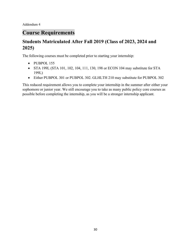# <span id="page-30-0"></span>**Course Requirements**

# **Students Matriculated After Fall 2019 (Class of 2023, 2024 and 2025)**

The following courses must be completed prior to starting your internship:

- PUBPOL 155
- STA 199L (STA 101, 102, 104, 111, 130, 198 or ECON 104 may substitute for STA 199L)
- Either PUBPOL 301 or PUBPOL 302. GLHLTH 210 may substitute for PUBPOL 302

This reduced requirement allows you to complete your internship in the summer after either your sophomore or junior year. We still encourage you to take as many public policy core courses as possible before completing the internship, as you will be a stronger internship applicant.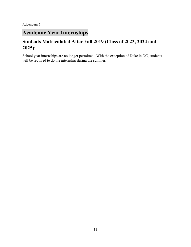# <span id="page-31-0"></span>**Academic Year Internships**

# **Students Matriculated After Fall 2019 (Class of 2023, 2024 and 2025):**

School year internships are no longer permitted. With the exception of Duke in DC, students will be required to do the internship during the summer.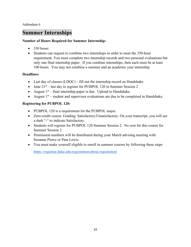# <span id="page-32-0"></span>**Summer Internships**

#### **Number of Hours Required for Summer Internship:**

- $\bullet$  350 hours
- Students can request to combine two internships in order to meet the 350-hour requirement. You must complete two internship records and two personal evaluations but only one final internship paper. If you combine internships, then each must be at least 100 hours. You may not combine a summer and an academic year internship.

### **Deadlines:**

- Last day of classes (LDOC) fill out the internship record on Handshake
- June  $21<sup>st</sup>$  last day to register for PUBPOL 120 in Summer Session 2
- August  $1<sup>st</sup>$  final internship paper is due. Upload to Handshake.
- August  $1<sup>st</sup>$  student and supervisor evaluations are due to be completed in Handshake

#### **Registering for PUBPOL 120:**

- PUBPOL 120 is a requirement for the PUBPOL major.
- Zero-credit course. Grading: Satisfactory/Unsatisfactory. On your transcript, you will see a dash "-" to indicate Satisfactory.
- Students will register for PUBPOL 120 Summer Session 2. No cost for this course for Summer Session 2.
- Permission numbers will be distributed during your March advising meeting with Suzanne Pierce or Pam Lewis.
- You must make yourself eligible to enroll in summer courses by following these steps

<https://registrar.duke.edu/registration/about-registration>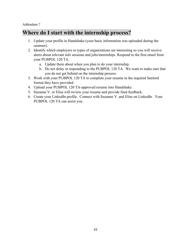# <span id="page-33-0"></span>**Where do I start with the internship process?**

- 1. Update your profile in Handshake (your basic information was uploaded during the summer).
- 2. Identify which employers or types of organizations are interesting so you will receive alerts about relevant info sessions and jobs/internships. Respond to the first email from your PUBPOL 120 TA.
	- a. Update them about when you plan to do your internship.
	- b. Do not delay in responding to the PUBPOL 120 TA. We want to make sure that you do not get behind on the internship process.
- 3. Work with your PUBPOL 120 TA to complete your resume in the required Sanford format they have provided.
- 4. Upload your PUBPOL 120 TA-approved resume into Handshake.
- 5. Suzanne V. or Elise will review your resume and provide final feedback.
- 6. Create your LinkedIn profile. Connect with Suzanne V. and Elise on LinkedIn. Your PUBPOL 120 TA can assist you.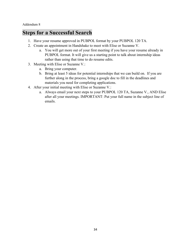# <span id="page-34-0"></span>**Steps for a Successful Search**

- 1. Have your resume approved in PUBPOL format by your PUBPOL 120 TA.
- 2. Create an appointment in Handshake to meet with Elise or Suzanne V.
	- a. You will get more out of your first meeting if you have your resume already in PUBPOL format. It will give us a starting point to talk about internship ideas rather than using that time to do resume edits.
- 3. Meeting with Elise or Suzanne V.:
	- a. Bring your computer.
	- b. Bring at least 5 ideas for potential internships that we can build on. If you are further along in the process, bring a google doc to fill in the deadlines and materials you need for completing applications.
- 4. After your initial meeting with Elise or Suzanne V.:
	- a. Always email your next steps to your PUBPOL 120 TA, Suzanne V., AND Elise after all your meetings. IMPORTANT: Put your full name in the subject line of emails.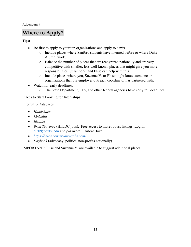# **Where to Apply?**

**Tips:**

- Be first to apply to your top organizations and apply to a mix.
	- o Include places where Sanford students have interned before or where Duke Alumni work.
	- o Balance the number of places that are recognized nationally and are very competitive with smaller, less well-known places that might give you more responsibilities. Suzanne V. and Elise can help with this.
	- o Include places where you, Suzanne V. or Elise might know someone or organizations that our employer outreach coordinator has partnered with.
- Watch for early deadlines.
	- o The State Department, CIA, and other federal agencies have early fall deadlines.

Places to Start Looking for Internships:

Internship Databases:

- *Handshake*
- *LinkedIn*
- *Idealist*
- *Brad Traverse* (Hill/DC jobs). Free access to more robust listings: Log In: [cl209@duke.edu](mailto:cl209@duke.edu) and password: SanfordDuke
- *<https://www.conservativejobs.com/>*
- *Daybook* (advocacy, politics, non-profits nationally)

IMPORTANT: Elise and Suzanne V. are available to suggest additional places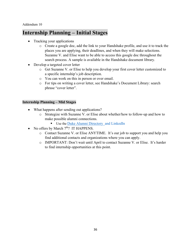# <span id="page-36-0"></span>**Internship Planning – Initial Stages**

- Tracking your applications
	- o Create a google doc, add the link to your Handshake profile, and use it to track the places you are applying, their deadlines, and when they will make selections. Suzanne V. and Elise want to be able to access this google doc throughout the search process. A sample is available in the Handshake document library.
- Develop a targeted cover letter
	- o Get Suzanne V. or Elise to help you develop your first cover letter customized to a specific internship's job description.
	- o You can work on this in person or over email.
	- o For tips on writing a cover letter, see Handshake's Document Library: search phrase "cover letter".

#### **Internship Planning – Mid Stages**

- What happens after sending out applications?
	- o Strategize with Suzanne V. or Elise about whether/how to follow-up and how to make possible alumni connections.
		- Use the [Duke Alumni Directory](https://alumni.duke.edu/) and LinkedIn
- No offers by March  $7<sup>th</sup>$ ? IT HAPPENS.
	- o Contact Suzanne V. or Elise ANYTIME. It's our job to support you and help you find additional contacts and organizations where you can apply.
	- o IMPORTANT: Don't wait until April to contact Suzanne V. or Elise. It's harder to find internship opportunities at this point.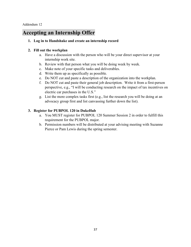# <span id="page-37-0"></span>**Accepting an Internship Offer**

### **1. Log in to Handshake and create an internship record**

#### **2. Fill out the workplan**

- a. Have a discussion with the person who will be your direct supervisor at your internship work site.
- b. Review with that person what you will be doing week by week.
- c. Make note of your specific tasks and deliverables.
- d. Write them up as specifically as possible.
- e. Do NOT cut and paste a description of the organization into the workplan.
- f. Do NOT cut and paste their general job description. Write it from a first-person perspective, e.g., "I will be conducting research on the impact of tax incentives on electric car purchases in the U.S."
- g. List the more complex tasks first (e.g., list the research you will be doing at an advocacy group first and list canvassing further down the list).

### **3. Register for PUBPOL 120 in DukeHub**

- a. You MUST register for PUBPOL 120 Summer Session 2 in order to fulfill this requirement for the PUBPOL major.
- b. Permission numbers will be distributed at your advising meeting with Suzanne Pierce or Pam Lewis during the spring semester.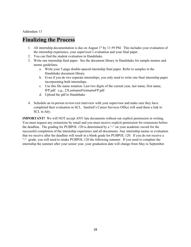# <span id="page-38-0"></span>**Finalizing the Process**

- 1. All internship documentation is due on August  $1<sup>st</sup>$  by 11:59 PM. This includes your evaluation of the internship experience, your supervisor's evaluation and your final paper.
- 2. You can find the student evaluation in Handshake.
- 3. Write one internship final paper. See the document library in Handshake for sample memos and memo guidelines.
	- a. Write your 5-page double-spaced internship final paper. Refer to samples in the Handshake document library.
	- b. Even if you do two separate internships, you only need to write one final internship paper incorporating both internships.
	- c. Use this file name notation: Last two digits of the current year, last name, first name, IFP.pdf. e.g., 23LastnameFirstnameFP.pdf
	- d. Upload the pdf to Handshake
- 4. Schedule an in-person review/exit interview with your supervisor and make sure they have completed their evaluation in SCL. Sanford's Career Services Office will send them a link to SCL in July.

**IMPORTANT!** We will NOT accept ANY late documents without our explicit permission in writing. You must request any extensions by email and you must receive explicit permission for extensions before the deadline. The grading for PUBPOL 120 is determined by a "-" on your academic record for the successful completion of the internship experience and all documents. Any internship memo or evaluation that we receive after the deadline will result in a blank grade for PUBPOL 120. If you do not receive a "-" grade, you will need to retake PUBPOL 120 the following summer. If you need to complete the internship the summer after your senior year, your graduation date will change from May to September.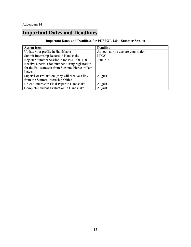# <span id="page-39-0"></span>**Important Dates and Deadlines**

### **Important Dates and Deadlines for PUBPOL 120 – Summer Session**

| <b>Action Item</b>                               | <b>Deadline</b>                   |
|--------------------------------------------------|-----------------------------------|
| Update your profile in Handshake                 | As soon as you declare your major |
| Submit Internship Record to Handshake            | <b>LDOC</b>                       |
| Register Summer Session 2 for PUBPOL 120.        | June $21st$                       |
| Receive a permission number during registration  |                                   |
| for the Fall semester from Suzanne Pierce or Pam |                                   |
| Lewis                                            |                                   |
| Supervisor Evaluation (they will receive a link  | August 1                          |
| from the Sanford Internship Office               |                                   |
| Upload Internship Final Paper to Handshake       | August 1                          |
| Complete Student Evaluation in Handshake         | August 1                          |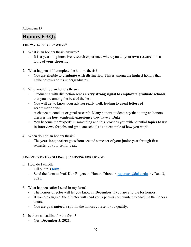# <span id="page-40-0"></span>**Honors FAQs**

#### **THE "WHATS" AND "WHYS"**

- 1. What is an honors thesis anyway?
	- It is a year-long intensive research experience where you do your **own research** on a topic of **your choosing**.
- 2. What happens if I complete the honors thesis?
	- You are eligible to **graduate with distinction**. This is among the highest honors that Duke bestows on its undergraduates.
- 3. Why would I do an honors thesis?
	- Graduating with distinction sends a **very strong signal to employers/graduate schools** that you are among the best of the best.
	- You will get to know your advisor really well, leading to **great letters of recommendation.**
	- A chance to conduct original research. Many honors students say that doing an honors thesis is the **best academic experience** they have at Duke.
	- You become the "expert" in something and this provides you with potential **topics to use in interviews** for jobs and graduate schools as an example of how you work.
- 4. When do I do an honors thesis?
	- The **year-long project** goes from second semester of your junior year through first semester of your senior year.

#### **LOGISTICS OF ENROLLING/QUALIFYING FOR HONORS**

- 5. How do I enroll?
	- Fill out this [form](#page-26-0)
	- Send the form to Prof. Ken Rogerson, Honors Director,  $rogerson@duke.edu$ , by Dec. 3, 2021.
- 6. What happens after I send in my form?
	- The honors director will let you know **in December** if you are eligible for honors.
	- If you are eligible, the director will send you a permission number to enroll in the honors course.
	- You are **guaranteed** a spot in the honors course if you qualify.
- 7. Is there a deadline for the form?
	- Yes. **December 3, 2021.**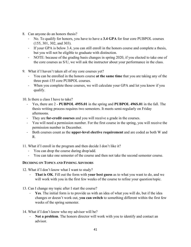- 8. Can anyone do an honors thesis?
	- No. To qualify for honors, you have to have a **3.4 GPA** for four core PUBPOL courses (155, 301, 302, and 303).
	- If your GPA is below 3.4, you can still enroll in the honors course and complete a thesis, but you will not be eligible to graduate with distinction.
	- NOTE: because of the grading basis changes in spring 2020, if you elected to take one of the core courses as S/U, we will ask the instructor about your performance in the class.
- 9. What if I haven't taken all of my core courses yet?
	- You can be enrolled in the honors course **at the same time** that you are taking any of the three post-155 core PUBPOL courses.
	- When you complete those courses, we will calculate your GPA and let you know if you qualify.

10. Is there a class I have to take?

- Yes, there are 2 **PUBPOL 495S.01** in the spring and **PUBPOL 496S.01** in the fall. The thesis writing process requires two semesters. It meets semi-regularly on Friday afternoons.
- They are **for-credit courses** and you will receive a grade in the courses.
- You will need a permission number. For the first course in the spring, you will receive the permission number in December.
- Both courses count as the **upper-level elective requirement** and are coded as both W and R.
- 11. What if I enroll in the program and then decide I don't like it?
	- You can drop the course during drop/add.
	- You can take one semester of the course and then not take the second semester course.

#### **DECIDING ON TOPICS AND FINDING ADVISORS**

- 12. What if I don't know what I want to study?
	- That is OK. Fill out the form with your best guess as to what you want to do, and we will work with you in the first few weeks of the course to refine your question/topic.
- 13. Can I change my topic after I start the course?
	- **Yes**. The initial form is to provide us with an idea of what you will do, but if the idea changes or doesn't work out, **you can switch** to something different within the first few weeks of the spring semester.
- 14. What if I don't know who my advisor will be?
	- Not a problem. The honors director will work with you to identify and contact an advisor.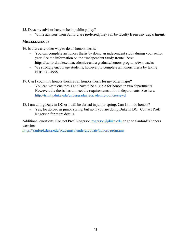- 15. Does my advisor have to be in public policy?
	- While advisors from Sanford are preferred, they can be faculty **from any department**.

#### **MISCELLANEOUS**

16. Is there any other way to do an honors thesis?

- You can complete an honors thesis by doing an independent study during your senior year. See the information on the "Independent Study Route" here: https://sanford.duke.edu/academics/undergraduate/honors-programs/two-tracks
- We strongly encourage students, however, to complete an honors thesis by taking PUBPOL 495S.

17. Can I count my honors thesis as an honors thesis for my other major?

You can write one thesis and have it be eligible for honors in two departments. However, the thesis has to meet the requirements of both departments. See here: <http://trinity.duke.edu/undergraduate/academic-policies/gwd>

18. I am doing Duke in DC or I will be abroad in junior spring. Can I still do honors?

Yes, for abroad in junior spring, but no if you are doing Duke in DC. Contact Prof. Rogerson for more details.

Additional questions, Contact Prof. Rogerson [rogerson@duke.edu](mailto:rogerson@duke.edu) or go to Sanford's honors website:

<https://sanford.duke.edu/academics/undergraduate/honors-programs>